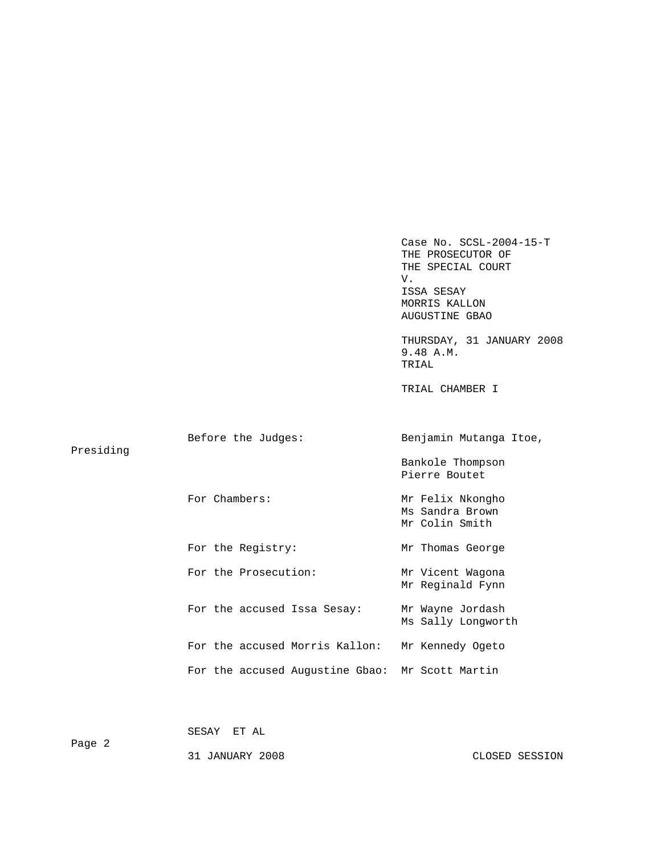Case No. SCSL-2004-15-T THE PROSECUTOR OF THE SPECIAL COURT V. ISSA SESAY MORRIS KALLON AUGUSTINE GBAO THURSDAY, 31 JANUARY 2008 9.48 A.M. TRIAL TRIAL CHAMBER I Before the Judges: Benjamin Mutanga Itoe, Bankole Thompson Pierre Boutet For Chambers: Mr Felix Nkongho Ms Sandra Brown Mr Colin Smith For the Registry: Mr Thomas George For the Prosecution: Mr Vicent Wagona Mr Reginald Fynn For the accused Issa Sesay: Mr Wayne Jordash Ms Sally Longworth For the accused Morris Kallon: Mr Kennedy Ogeto For the accused Augustine Gbao: Mr Scott Martin

SESAY ET AL

Page 2

Presiding

31 JANUARY 2008 CLOSED SESSION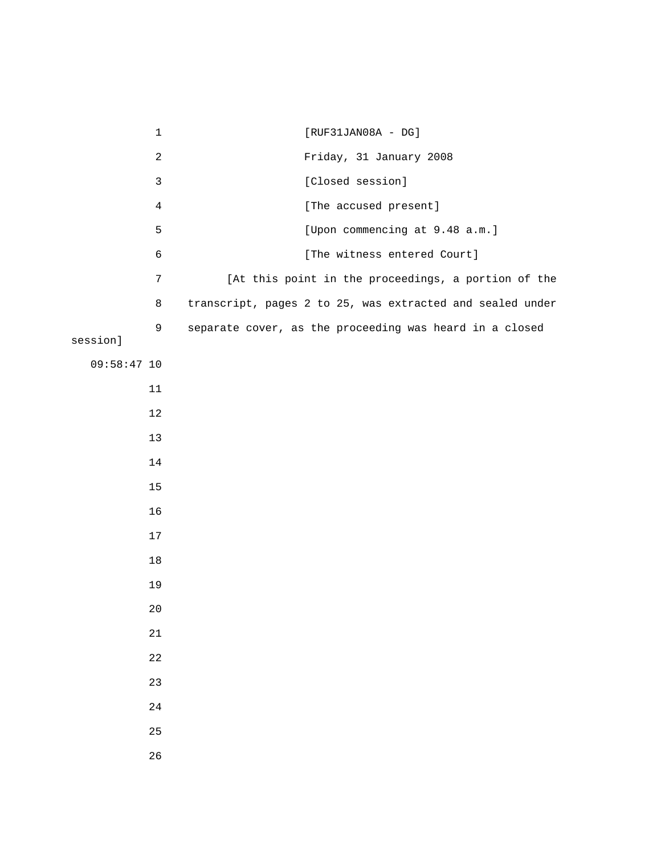1 [RUF31JAN08A - DG] 2 Friday, 31 January 2008 3 [Closed session] 4 [The accused present] 5 [Upon commencing at 9.48 a.m.] 6 [The witness entered Court] 7 [At this point in the proceedings, a portion of the 8 transcript, pages 2 to 25, was extracted and sealed under 9 separate cover, as the proceeding was heard in a closed session] 09:58:47 10 11 12 13 14 15 16 17 18 19 20 21 22 23 24 25 26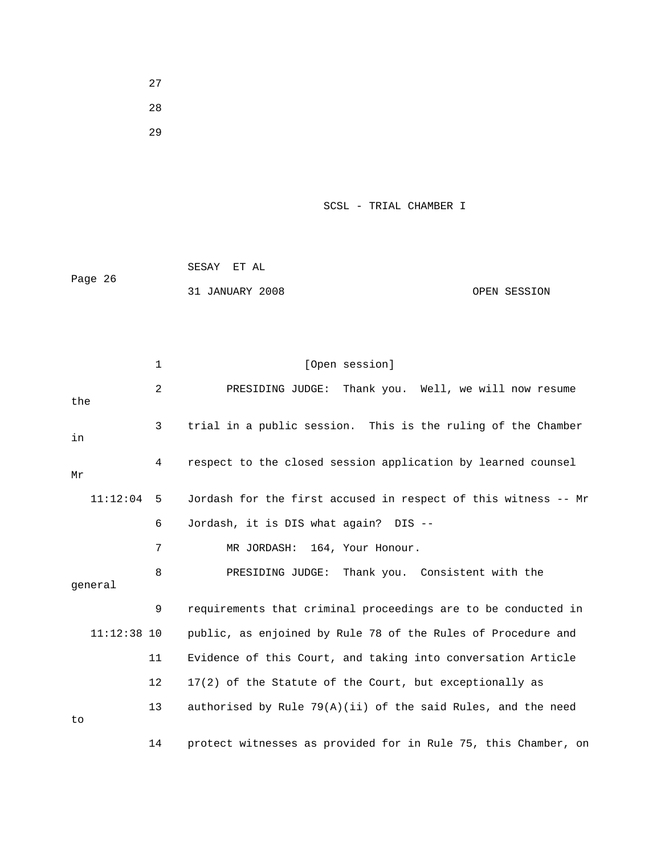27 28 29

SCSL - TRIAL CHAMBER I

| Page 26 | SESAY ET AL     |              |  |
|---------|-----------------|--------------|--|
|         | 31 JANUARY 2008 | OPEN SESSION |  |

|     |               | $\mathbf 1$ | [Open session]                                                 |
|-----|---------------|-------------|----------------------------------------------------------------|
| the |               | 2           | PRESIDING JUDGE: Thank you. Well, we will now resume           |
| in  |               | 3           | trial in a public session. This is the ruling of the Chamber   |
| Μr  |               | 4           | respect to the closed session application by learned counsel   |
|     | 11:12:04      | -5          | Jordash for the first accused in respect of this witness -- Mr |
|     |               | 6           | Jordash, it is DIS what again? DIS --                          |
|     |               | 7           | MR JORDASH: 164, Your Honour.                                  |
|     | general       | 8           | PRESIDING JUDGE: Thank you. Consistent with the                |
|     |               | 9           | requirements that criminal proceedings are to be conducted in  |
|     | $11:12:38$ 10 |             | public, as enjoined by Rule 78 of the Rules of Procedure and   |
|     |               | 11          | Evidence of this Court, and taking into conversation Article   |
|     |               | 12          | 17(2) of the Statute of the Court, but exceptionally as        |
| to  |               | 13          | authorised by Rule $79(A)(ii)$ of the said Rules, and the need |
|     |               | 14          | protect witnesses as provided for in Rule 75, this Chamber, on |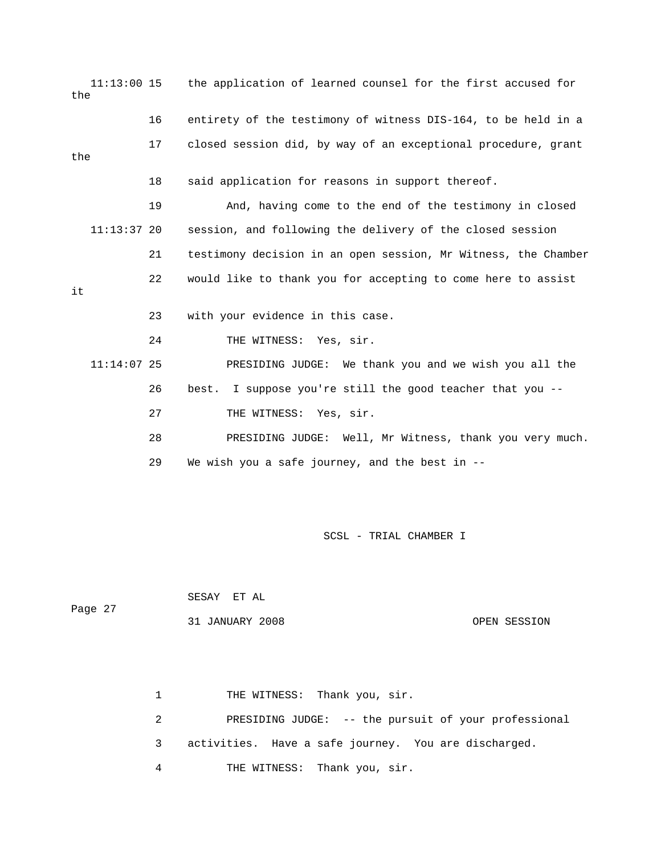11:13:00 15 the application of learned counsel for the first accused for the 16 entirety of the testimony of witness DIS-164, to be held in a 17 closed session did, by way of an exceptional procedure, grant the 18 said application for reasons in support thereof. 19 And, having come to the end of the testimony in closed 11:13:37 20 session, and following the delivery of the closed session 21 testimony decision in an open session, Mr Witness, the Chamber 22 would like to thank you for accepting to come here to assist it 23 with your evidence in this case. 24 THE WITNESS: Yes, sir. 11:14:07 25 PRESIDING JUDGE: We thank you and we wish you all the 26 best. I suppose you're still the good teacher that you -- 27 THE WITNESS: Yes, sir. 28 PRESIDING JUDGE: Well, Mr Witness, thank you very much. 29 We wish you a safe journey, and the best in --

SCSL - TRIAL CHAMBER I

 SESAY ET AL Page 27 31 JANUARY 2008 OPEN SESSION

> 1 THE WITNESS: Thank you, sir. 2 PRESIDING JUDGE: -- the pursuit of your professional 3 activities. Have a safe journey. You are discharged. 4 THE WITNESS: Thank you, sir.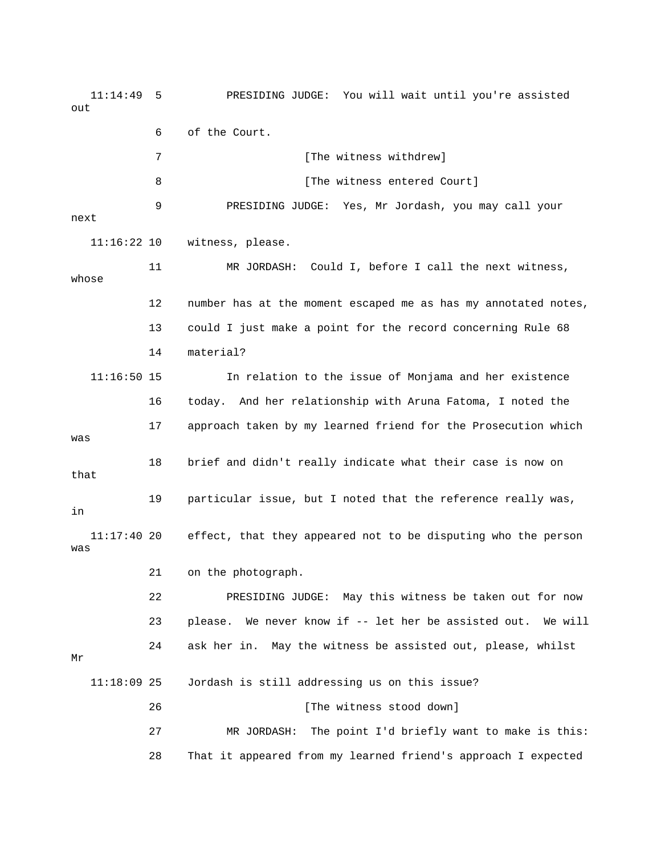11:14:49 5 PRESIDING JUDGE: You will wait until you're assisted out 6 of the Court. 7 *The witness withdrewl* 8 [The witness entered Court] 9 PRESIDING JUDGE: Yes, Mr Jordash, you may call your next 11:16:22 10 witness, please. 11 MR JORDASH: Could I, before I call the next witness, whose 12 number has at the moment escaped me as has my annotated notes, 13 could I just make a point for the record concerning Rule 68 14 material? 11:16:50 15 In relation to the issue of Monjama and her existence 16 today. And her relationship with Aruna Fatoma, I noted the 17 approach taken by my learned friend for the Prosecution which was 18 brief and didn't really indicate what their case is now on that 19 particular issue, but I noted that the reference really was, in 11:17:40 20 effect, that they appeared not to be disputing who the person was 21 on the photograph. 22 PRESIDING JUDGE: May this witness be taken out for now 23 please. We never know if -- let her be assisted out. We will 24 ask her in. May the witness be assisted out, please, whilst Mr 11:18:09 25 Jordash is still addressing us on this issue? 26 **[The witness stood down]**  27 MR JORDASH: The point I'd briefly want to make is this: 28 That it appeared from my learned friend's approach I expected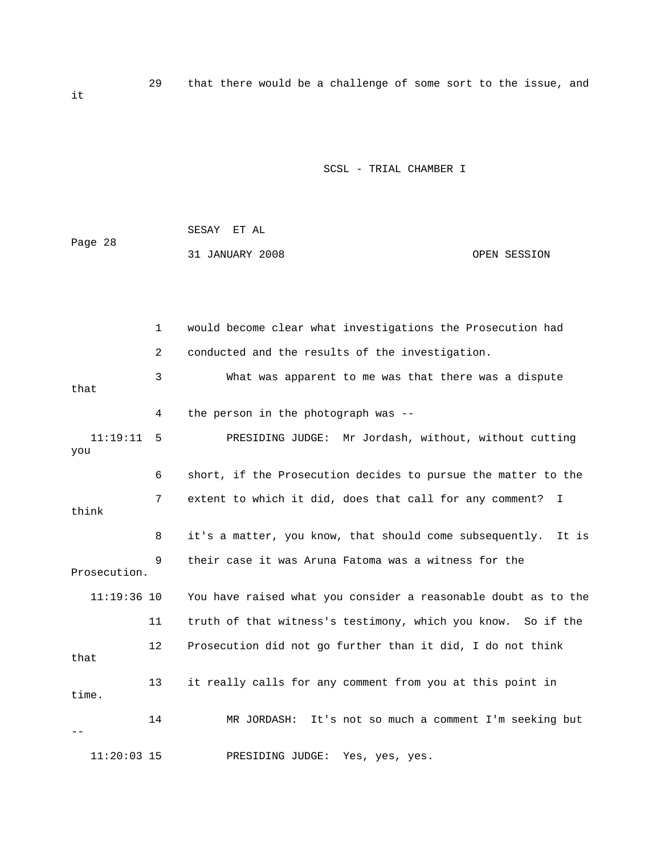29 that there would be a challenge of some sort to the issue, and

SCSL - TRIAL CHAMBER I

| Page 28 | SESAY ET AL     |              |
|---------|-----------------|--------------|
|         | 31 JANUARY 2008 | OPEN SESSION |

 1 would become clear what investigations the Prosecution had 2 conducted and the results of the investigation. 3 What was apparent to me was that there was a dispute that 4 the person in the photograph was -- 11:19:11 5 PRESIDING JUDGE: Mr Jordash, without, without cutting you 6 short, if the Prosecution decides to pursue the matter to the 7 extent to which it did, does that call for any comment? I think 8 it's a matter, you know, that should come subsequently. It is 9 their case it was Aruna Fatoma was a witness for the Prosecution. 11:19:36 10 You have raised what you consider a reasonable doubt as to the 11 truth of that witness's testimony, which you know. So if the 12 Prosecution did not go further than it did, I do not think that 13 it really calls for any comment from you at this point in time. 14 MR JORDASH: It's not so much a comment I'm seeking but  $-$ 11:20:03 15 PRESIDING JUDGE: Yes, yes, yes.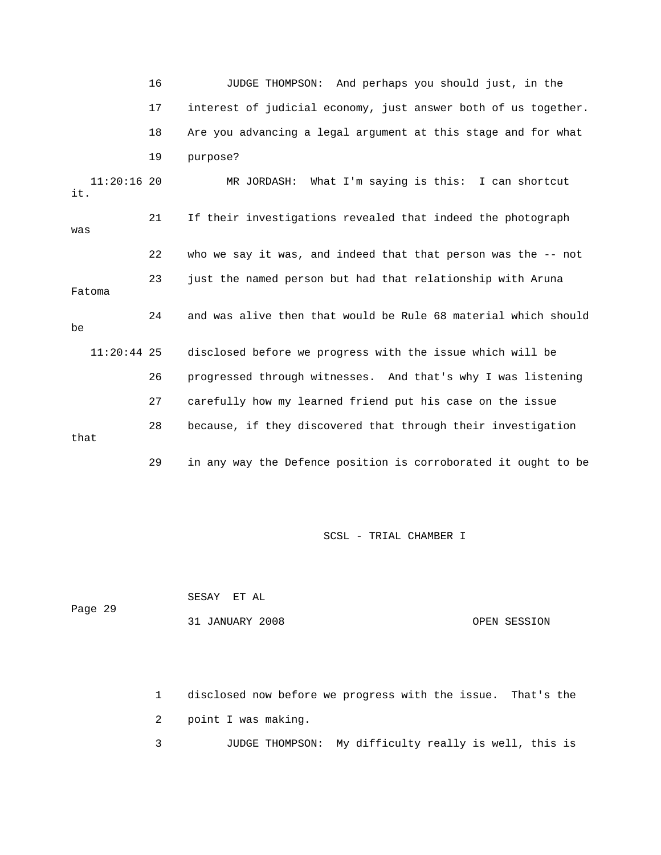|        |               | 16 | JUDGE THOMPSON: And perhaps you should just, in the              |
|--------|---------------|----|------------------------------------------------------------------|
|        |               | 17 | interest of judicial economy, just answer both of us together.   |
|        |               | 18 | Are you advancing a legal argument at this stage and for what    |
|        |               | 19 | purpose?                                                         |
| it.    | $11:20:16$ 20 |    | What I'm saying is this: I can shortcut<br>MR JORDASH:           |
| was    |               | 21 | If their investigations revealed that indeed the photograph      |
|        |               | 22 | who we say it was, and indeed that that person was the $-$ - not |
| Fatoma |               | 23 | just the named person but had that relationship with Aruna       |
| be     |               | 24 | and was alive then that would be Rule 68 material which should   |
|        | $11:20:44$ 25 |    | disclosed before we progress with the issue which will be        |
|        |               | 26 | progressed through witnesses. And that's why I was listening     |
|        |               | 27 | carefully how my learned friend put his case on the issue        |
| that   |               | 28 | because, if they discovered that through their investigation     |
|        |               | 29 | in any way the Defence position is corroborated it ought to be   |

SCSL - TRIAL CHAMBER I

|         | SESAY ET AL |                 |              |
|---------|-------------|-----------------|--------------|
| Page 29 |             |                 |              |
|         |             | 31 JANUARY 2008 | OPEN SESSION |

 1 disclosed now before we progress with the issue. That's the 2 point I was making.

3 JUDGE THOMPSON: My difficulty really is well, this is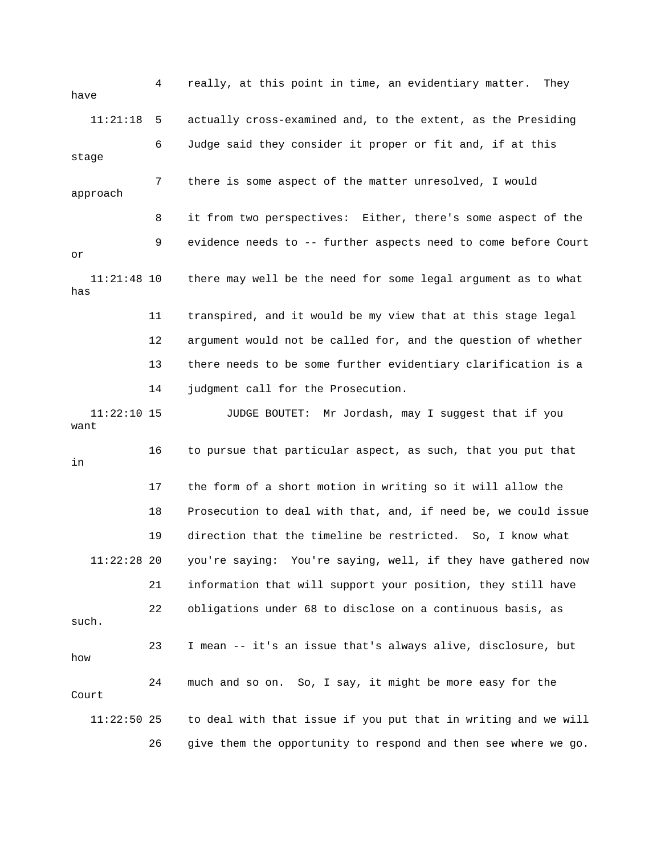| have                  | 4   | really, at this point in time, an evidentiary matter.<br>They  |
|-----------------------|-----|----------------------------------------------------------------|
| 11:21:18              | - 5 | actually cross-examined and, to the extent, as the Presiding   |
| stage                 | 6   | Judge said they consider it proper or fit and, if at this      |
| approach              | 7   | there is some aspect of the matter unresolved, I would         |
|                       | 8   | it from two perspectives: Either, there's some aspect of the   |
| or                    | 9   | evidence needs to -- further aspects need to come before Court |
| $11:21:48$ 10<br>has  |     | there may well be the need for some legal argument as to what  |
|                       | 11  | transpired, and it would be my view that at this stage legal   |
|                       | 12  | argument would not be called for, and the question of whether  |
|                       | 13  | there needs to be some further evidentiary clarification is a  |
|                       | 14  | judgment call for the Prosecution.                             |
| $11:22:10$ 15<br>want |     | Mr Jordash, may I suggest that if you<br>JUDGE BOUTET:         |
| in                    | 16  | to pursue that particular aspect, as such, that you put that   |
|                       | 17  | the form of a short motion in writing so it will allow the     |
|                       | 18  | Prosecution to deal with that, and, if need be, we could issue |
|                       | 19  | direction that the timeline be restricted. So, I know what     |
| $11:22:28$ 20         |     | you're saying: You're saying, well, if they have gathered now  |
|                       | 21  | information that will support your position, they still have   |
| such.                 | 22  | obligations under 68 to disclose on a continuous basis, as     |
| how                   | 23  | I mean -- it's an issue that's always alive, disclosure, but   |
| Court                 | 24  | much and so on. So, I say, it might be more easy for the       |
| $11:22:50$ 25         |     | to deal with that issue if you put that in writing and we will |
|                       | 26  | give them the opportunity to respond and then see where we go. |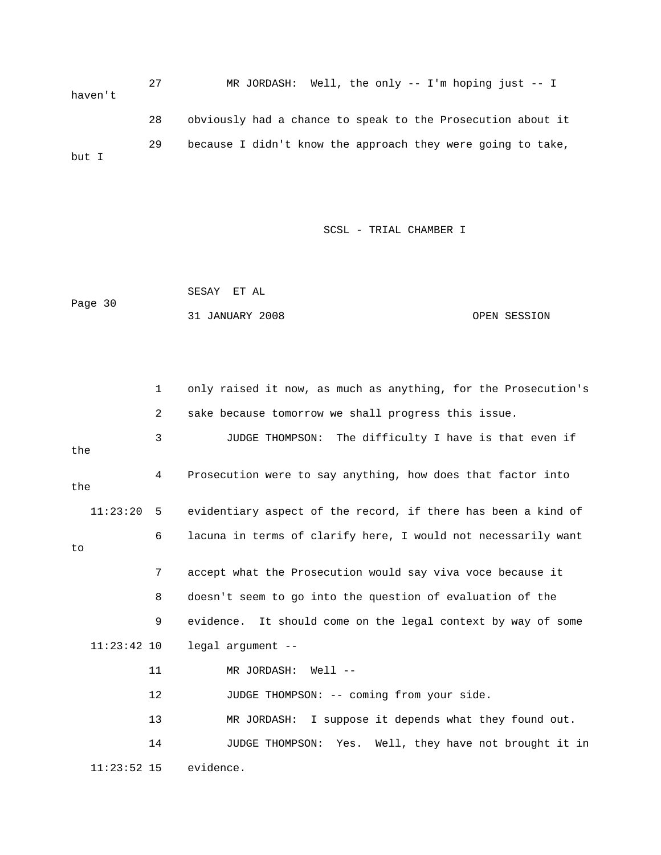27 MR JORDASH: Well, the only -- I'm hoping just -- I haven't 28 obviously had a chance to speak to the Prosecution about it 29 because I didn't know the approach they were going to take, but I

SCSL - TRIAL CHAMBER I

 SESAY ET AL Page 30 31 JANUARY 2008 OPEN SESSION

|     |               | $\mathbf{1}$ | only raised it now, as much as anything, for the Prosecution's |
|-----|---------------|--------------|----------------------------------------------------------------|
|     |               | 2            | sake because tomorrow we shall progress this issue.            |
| the |               | 3            | JUDGE THOMPSON: The difficulty I have is that even if          |
| the |               | 4            | Prosecution were to say anything, how does that factor into    |
|     | 11:23:20      | 5            | evidentiary aspect of the record, if there has been a kind of  |
| to  |               | 6            | lacuna in terms of clarify here, I would not necessarily want  |
|     |               | 7            | accept what the Prosecution would say viva voce because it     |
|     |               | 8            | doesn't seem to go into the question of evaluation of the      |
|     |               | 9            | evidence. It should come on the legal context by way of some   |
|     | $11:23:42$ 10 |              | legal argument --                                              |
|     |               | 11           | MR JORDASH: Well --                                            |
|     |               | 12           | JUDGE THOMPSON: -- coming from your side.                      |
|     |               | 13           | I suppose it depends what they found out.<br>MR JORDASH:       |
|     |               | 14           | JUDGE THOMPSON: Yes. Well, they have not brought it in         |
|     | $11:23:52$ 15 |              | evidence.                                                      |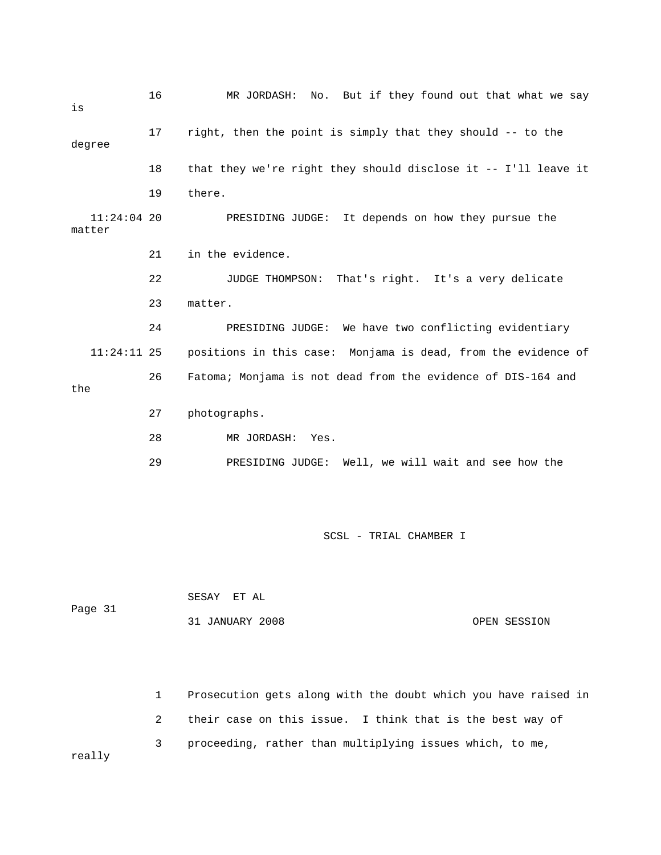| is                      | 16 | No. But if they found out that what we say<br>MR JORDASH:      |
|-------------------------|----|----------------------------------------------------------------|
| degree                  | 17 | right, then the point is simply that they should -- to the     |
|                         | 18 | that they we're right they should disclose it -- I'll leave it |
|                         | 19 | there.                                                         |
| $11:24:04$ 20<br>matter |    | PRESIDING JUDGE: It depends on how they pursue the             |
|                         | 21 | in the evidence.                                               |
|                         | 22 | JUDGE THOMPSON:<br>That's right. It's a very delicate          |
|                         | 23 | matter.                                                        |
|                         | 24 | PRESIDING JUDGE: We have two conflicting evidentiary           |
| $11:24:11$ 25           |    | positions in this case: Monjama is dead, from the evidence of  |
| the                     | 26 | Fatoma; Monjama is not dead from the evidence of DIS-164 and   |
|                         | 27 | photographs.                                                   |
|                         | 28 | MR JORDASH:<br>Yes.                                            |
|                         | 29 | PRESIDING JUDGE: Well, we will wait and see how the            |

SCSL - TRIAL CHAMBER I

|         | SESAY ET AL |                 |              |
|---------|-------------|-----------------|--------------|
| Page 31 |             |                 |              |
|         |             | 31 JANUARY 2008 | OPEN SESSION |

 1 Prosecution gets along with the doubt which you have raised in 2 their case on this issue. I think that is the best way of 3 proceeding, rather than multiplying issues which, to me, really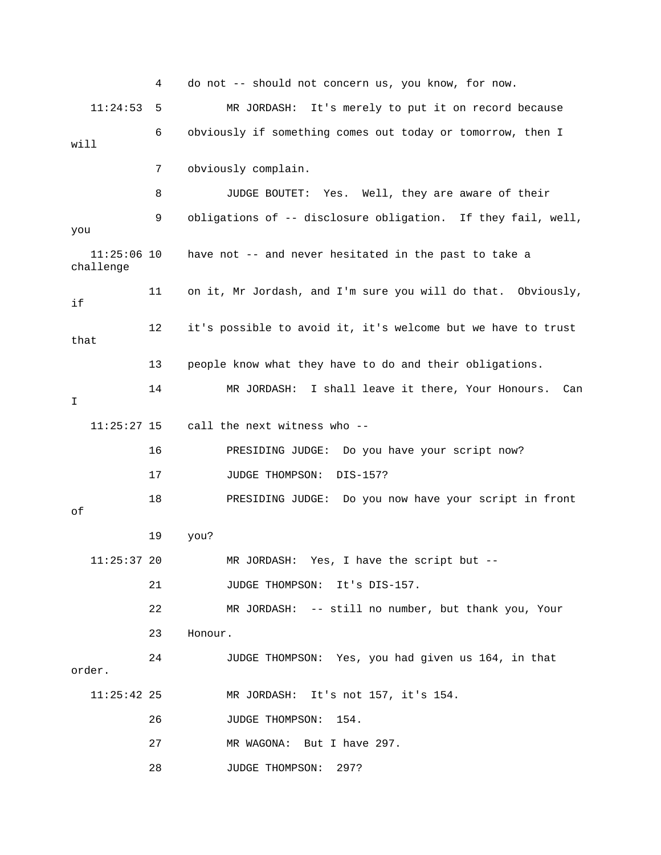4 do not -- should not concern us, you know, for now. 11:24:53 5 MR JORDASH: It's merely to put it on record because 6 obviously if something comes out today or tomorrow, then I will 7 obviously complain. 8 JUDGE BOUTET: Yes. Well, they are aware of their 9 obligations of -- disclosure obligation. If they fail, well, you 11:25:06 10 have not -- and never hesitated in the past to take a challenge 11 on it, Mr Jordash, and I'm sure you will do that. Obviously, if 12 it's possible to avoid it, it's welcome but we have to trust that 13 people know what they have to do and their obligations. 14 MR JORDASH: I shall leave it there, Your Honours. Can I  $11:25:27$  15 call the next witness who  $-$ - 16 PRESIDING JUDGE: Do you have your script now? 17 JUDGE THOMPSON: DIS-157? 18 PRESIDING JUDGE: Do you now have your script in front of 19 you? 11:25:37 20 MR JORDASH: Yes, I have the script but -- 21 JUDGE THOMPSON: It's DIS-157. 22 MR JORDASH: -- still no number, but thank you, Your 23 Honour. 24 JUDGE THOMPSON: Yes, you had given us 164, in that order. 11:25:42 25 MR JORDASH: It's not 157, it's 154. 26 JUDGE THOMPSON: 154. 27 MR WAGONA: But I have 297. 28 JUDGE THOMPSON: 297?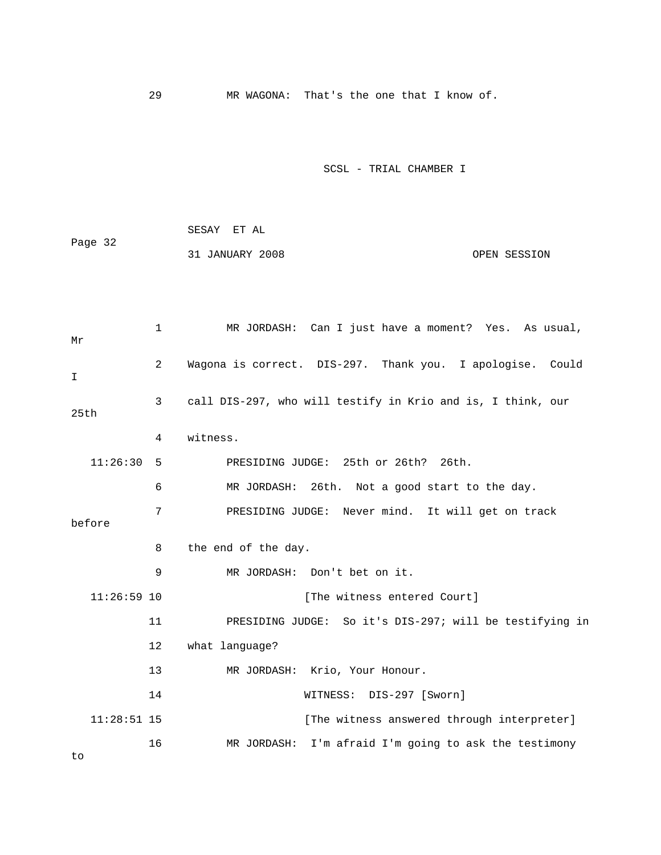29 MR WAGONA: That's the one that I know of.

## SCSL - TRIAL CHAMBER I

|         | SESAY ET AL     |              |
|---------|-----------------|--------------|
| Page 32 |                 |              |
|         | 31 JANUARY 2008 | OPEN SESSION |

 1 MR JORDASH: Can I just have a moment? Yes. As usual, Mr 2 Wagona is correct. DIS-297. Thank you. I apologise. Could I 3 call DIS-297, who will testify in Krio and is, I think, our 25th 4 witness. 11:26:30 5 PRESIDING JUDGE: 25th or 26th? 26th. 6 MR JORDASH: 26th. Not a good start to the day. 7 PRESIDING JUDGE: Never mind. It will get on track before 8 the end of the day. 9 MR JORDASH: Don't bet on it. 11:26:59 10 [The witness entered Court] 11 PRESIDING JUDGE: So it's DIS-297; will be testifying in 12 what language? 13 MR JORDASH: Krio, Your Honour. 14 WITNESS: DIS-297 [Sworn] 11:28:51 15 [The witness answered through interpreter] 16 MR JORDASH: I'm afraid I'm going to ask the testimony to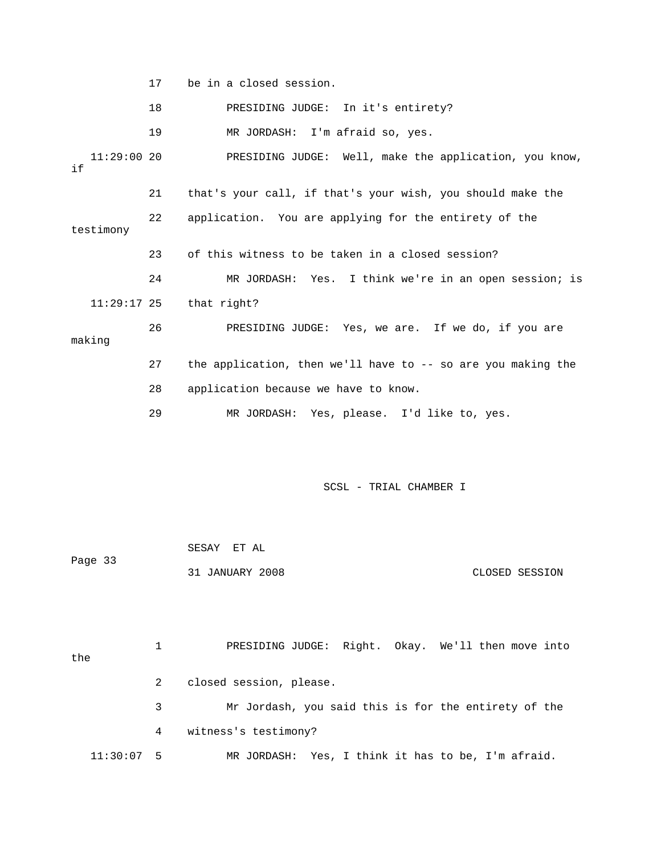17 be in a closed session.

18 PRESIDING JUDGE: In it's entirety?

19 MR JORDASH: I'm afraid so, yes.

 11:29:00 20 PRESIDING JUDGE: Well, make the application, you know, if 21 that's your call, if that's your wish, you should make the 22 application. You are applying for the entirety of the testimony 23 of this witness to be taken in a closed session? 24 MR JORDASH: Yes. I think we're in an open session; is 11:29:17 25 that right? 26 PRESIDING JUDGE: Yes, we are. If we do, if you are

making

 27 the application, then we'll have to -- so are you making the 28 application because we have to know.

29 MR JORDASH: Yes, please. I'd like to, yes.

SCSL - TRIAL CHAMBER I

| Page 33 | SESAY ET AL |                 |                |
|---------|-------------|-----------------|----------------|
|         |             | 31 JANUARY 2008 | CLOSED SESSION |

 1 PRESIDING JUDGE: Right. Okay. We'll then move into the 2 closed session, please. 3 Mr Jordash, you said this is for the entirety of the 4 witness's testimony? 11:30:07 5 MR JORDASH: Yes, I think it has to be, I'm afraid.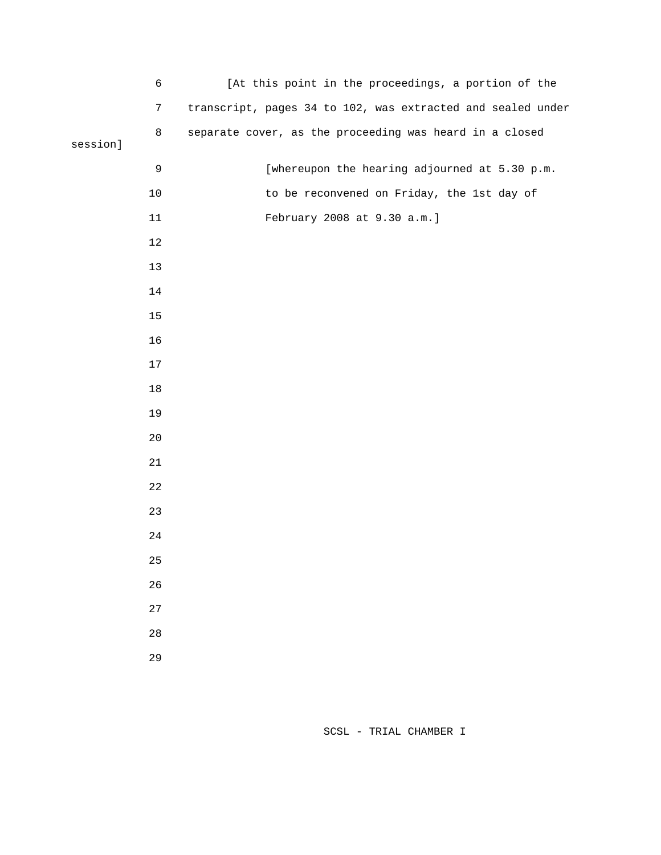|          | $\epsilon$  | [At this point in the proceedings, a portion of the         |
|----------|-------------|-------------------------------------------------------------|
|          | $\sqrt{7}$  | transcript, pages 34 to 102, was extracted and sealed under |
| session] | $\,8\,$     | separate cover, as the proceeding was heard in a closed     |
|          | $\mathsf 9$ | [whereupon the hearing adjourned at 5.30 p.m.               |
|          | $10$        | to be reconvened on Friday, the 1st day of                  |
|          | $11\,$      | February 2008 at 9.30 a.m.]                                 |
|          | $12$        |                                                             |
|          | $13$        |                                                             |
|          | 14          |                                                             |
|          | $15\,$      |                                                             |
|          | 16          |                                                             |
|          | $17$        |                                                             |
|          | $18\,$      |                                                             |
|          | 19          |                                                             |
|          | $20\,$      |                                                             |
|          | 21          |                                                             |
|          | $2\sqrt{2}$ |                                                             |
|          | 23          |                                                             |
|          | 24          |                                                             |
|          | $25\,$      |                                                             |
|          | 26          |                                                             |
|          | 27          |                                                             |
|          | 28          |                                                             |
|          | 29          |                                                             |